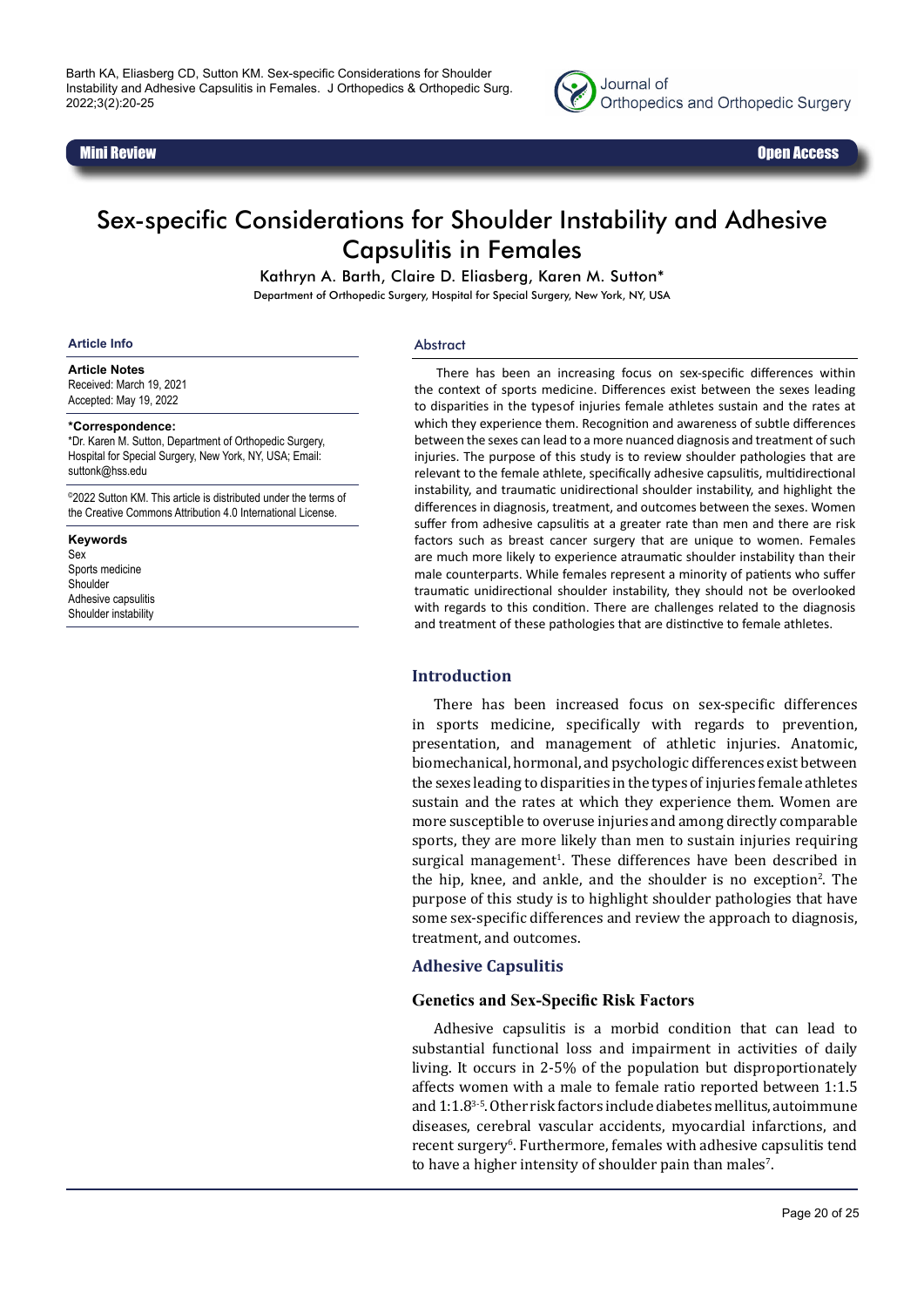



# Sex-specific Considerations for Shoulder Instability and Adhesive Capsulitis in Females

Kathryn A. Barth, Claire D. Eliasberg, Karen M. Sutton\*

Department of Orthopedic Surgery, Hospital for Special Surgery, New York, NY, USA

#### **Article Info**

Abstract

**Article Notes** Received: March 19, 2021 Accepted: May 19, 2022

#### **\*Correspondence:**

\*Dr. Karen M. Sutton, Department of Orthopedic Surgery, Hospital for Special Surgery, New York, NY, USA; Email: suttonk@hss.edu

©2022 Sutton KM. This article is distributed under the terms of the Creative Commons Attribution 4.0 International License.

#### **Keywords**

Sex Sports medicine **Shoulder** Adhesive capsulitis Shoulder instability

There has been an increasing focus on sex-specific differences within the context of sports medicine. Differences exist between the sexes leading to disparities in the types of injuries female athletes sustain and the rates at which they experience them. Recognition and awareness of subtle differences between the sexes can lead to a more nuanced diagnosis and treatment of such injuries. The purpose of this study is to review shoulder pathologies that are relevant to the female athlete, specifically adhesive capsulitis, multidirectional instability, and traumatic unidirectional shoulder instability, and highlight the differences in diagnosis, treatment, and outcomes between the sexes. Women suffer from adhesive capsulitis at a greater rate than men and there are risk factors such as breast cancer surgery that are unique to women. Females are much more likely to experience atraumatic shoulder instability than their male counterparts. While females represent a minority of patients who suffer traumatic unidirectional shoulder instability, they should not be overlooked with regards to this condition. There are challenges related to the diagnosis and treatment of these pathologies that are distinctive to female athletes.

#### **Introduction**

There has been increased focus on sex-specific differences in sports medicine, specifically with regards to prevention, presentation, and management of athletic injuries. Anatomic, biomechanical, hormonal, and psychologic differences exist between the sexes leading to disparities in the types of injuries female athletes sustain and the rates at which they experience them. Women are more susceptible to overuse injuries and among directly comparable sports, they are more likely than men to sustain injuries requiring surgical management<sup>1</sup>. These differences have been described in the hip, knee, and ankle, and the shoulder is no exception<sup>2</sup>. The purpose of this study is to highlight shoulder pathologies that have some sex-specific differences and review the approach to diagnosis, treatment, and outcomes.

#### **Adhesive Capsulitis**

#### **Genetics and Sex-Specific Risk Factors**

Adhesive capsulitis is a morbid condition that can lead to substantial functional loss and impairment in activities of daily living. It occurs in 2-5% of the population but disproportionately affects women with a male to female ratio reported between 1:1.5 and 1:1.83-5.Other risk factors include diabetes mellitus, autoimmune diseases, cerebral vascular accidents, myocardial infarctions, and recent surgery<sup>6</sup>. Furthermore, females with adhesive capsulitis tend to have a higher intensity of shoulder pain than males<sup>7</sup>.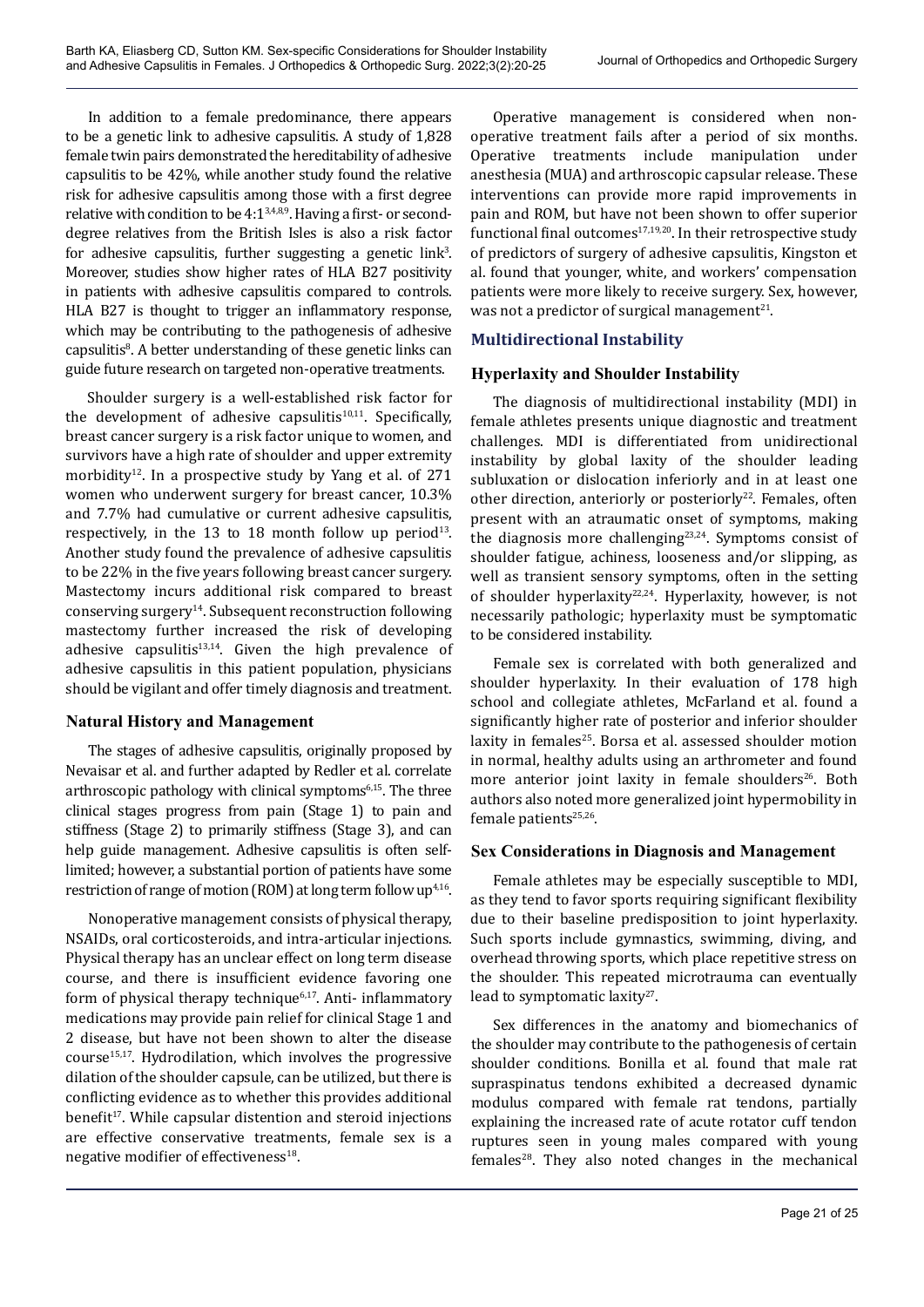In addition to a female predominance, there appears to be a genetic link to adhesive capsulitis. A study of 1,828 female twin pairs demonstrated the hereditability of adhesive capsulitis to be 42%, while another study found the relative risk for adhesive capsulitis among those with a first degree relative with condition to be  $4:1^{3,4,8,9}$ . Having a first- or seconddegree relatives from the British Isles is also a risk factor for adhesive capsulitis, further suggesting a genetic  $link<sup>3</sup>$ . Moreover, studies show higher rates of HLA B27 positivity in patients with adhesive capsulitis compared to controls. HLA B27 is thought to trigger an inflammatory response, which may be contributing to the pathogenesis of adhesive capsulitis<sup>8</sup>. A better understanding of these genetic links can guide future research on targeted non-operative treatments.

Shoulder surgery is a well-established risk factor for the development of adhesive capsulitis $10,11$ . Specifically, breast cancer surgery is a risk factor unique to women, and survivors have a high rate of shoulder and upper extremity morbidity<sup>12</sup>. In a prospective study by Yang et al. of 271 women who underwent surgery for breast cancer, 10.3% and 7.7% had cumulative or current adhesive capsulitis, respectively, in the 13 to 18 month follow up period $13$ . Another study found the prevalence of adhesive capsulitis to be 22% in the five years following breast cancer surgery. Mastectomy incurs additional risk compared to breast conserving surgery14. Subsequent reconstruction following mastectomy further increased the risk of developing adhesive capsulitis<sup>13,14</sup>. Given the high prevalence of adhesive capsulitis in this patient population, physicians should be vigilant and offer timely diagnosis and treatment.

## **Natural History and Management**

The stages of adhesive capsulitis, originally proposed by Nevaisar et al. and further adapted by Redler et al. correlate arthroscopic pathology with clinical symptoms6,15. The three clinical stages progress from pain (Stage 1) to pain and stiffness (Stage 2) to primarily stiffness (Stage 3), and can help guide management. Adhesive capsulitis is often selflimited; however, a substantial portion of patients have some restriction of range of motion (ROM) at long term follow up<sup>4,16</sup>.

Nonoperative management consists of physical therapy, NSAIDs, oral corticosteroids, and intra-articular injections. Physical therapy has an unclear effect on long term disease course, and there is insufficient evidence favoring one form of physical therapy technique<sup>6,17</sup>. Anti- inflammatory medications may provide pain relief for clinical Stage 1 and 2 disease, but have not been shown to alter the disease  $course<sup>15,17</sup>$ . Hydrodilation, which involves the progressive dilation of the shoulder capsule, can be utilized, but there is conflicting evidence as to whether this provides additional benefit<sup>17</sup>. While capsular distention and steroid injections are effective conservative treatments, female sex is a negative modifier of effectiveness<sup>18</sup>.

Operative management is considered when nonoperative treatment fails after a period of six months. Operative treatments include manipulation under anesthesia (MUA) and arthroscopic capsular release. These interventions can provide more rapid improvements in pain and ROM, but have not been shown to offer superior functional final outcomes<sup>17,19,20</sup>. In their retrospective study of predictors of surgery of adhesive capsulitis, Kingston et al. found that younger, white, and workers' compensation patients were more likely to receive surgery. Sex, however, was not a predictor of surgical management<sup>21</sup>.

## **Multidirectional Instability**

## **Hyperlaxity and Shoulder Instability**

The diagnosis of multidirectional instability (MDI) in female athletes presents unique diagnostic and treatment challenges. MDI is differentiated from unidirectional instability by global laxity of the shoulder leading subluxation or dislocation inferiorly and in at least one other direction, anteriorly or posteriorly<sup>22</sup>. Females, often present with an atraumatic onset of symptoms, making the diagnosis more challenging23,24. Symptoms consist of shoulder fatigue, achiness, looseness and/or slipping, as well as transient sensory symptoms, often in the setting of shoulder hyperlaxity<sup>22,24</sup>. Hyperlaxity, however, is not necessarily pathologic; hyperlaxity must be symptomatic to be considered instability.

Female sex is correlated with both generalized and shoulder hyperlaxity. In their evaluation of 178 high school and collegiate athletes, McFarland et al. found a significantly higher rate of posterior and inferior shoulder laxity in females $25$ . Borsa et al. assessed shoulder motion in normal, healthy adults using an arthrometer and found more anterior joint laxity in female shoulders<sup>26</sup>. Both authors also noted more generalized joint hypermobility in female patients<sup>25,26</sup>.

## **Sex Considerations in Diagnosis and Management**

Female athletes may be especially susceptible to MDI, as they tend to favor sports requiring significant flexibility due to their baseline predisposition to joint hyperlaxity. Such sports include gymnastics, swimming, diving, and overhead throwing sports, which place repetitive stress on the shoulder. This repeated microtrauma can eventually lead to symptomatic laxity<sup>27</sup>.

Sex differences in the anatomy and biomechanics of the shoulder may contribute to the pathogenesis of certain shoulder conditions. Bonilla et al. found that male rat supraspinatus tendons exhibited a decreased dynamic modulus compared with female rat tendons, partially explaining the increased rate of acute rotator cuff tendon ruptures seen in young males compared with young females<sup>28</sup>. They also noted changes in the mechanical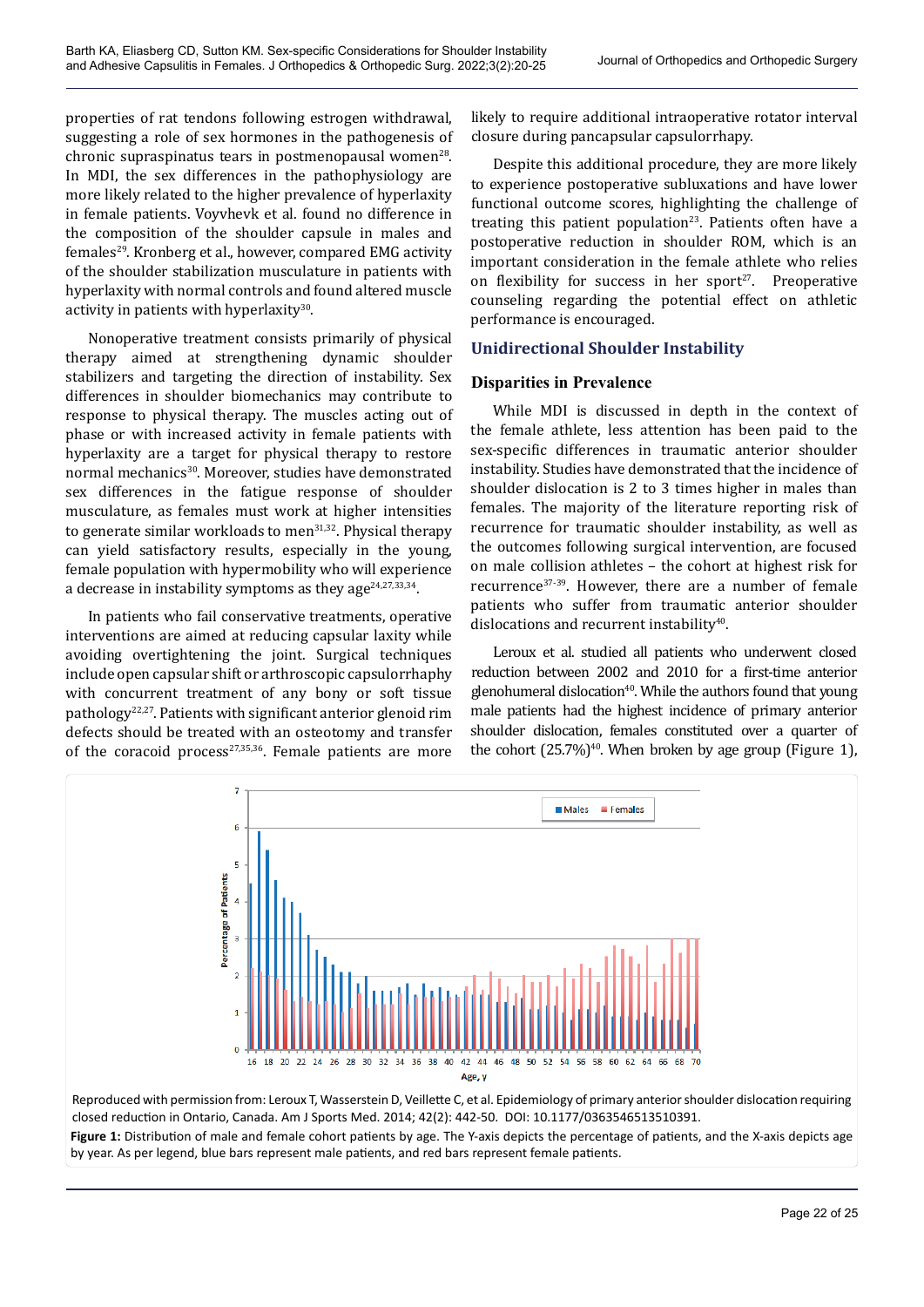properties of rat tendons following estrogen withdrawal, suggesting a role of sex hormones in the pathogenesis of chronic supraspinatus tears in postmenopausal women<sup>28</sup>. In MDI, the sex differences in the pathophysiology are more likely related to the higher prevalence of hyperlaxity in female patients. Voyvhevk et al. found no difference in the composition of the shoulder capsule in males and females29. Kronberg et al., however, compared EMG activity of the shoulder stabilization musculature in patients with hyperlaxity with normal controls and found altered muscle activity in patients with hyperlaxity<sup>30</sup>.

Nonoperative treatment consists primarily of physical therapy aimed at strengthening dynamic shoulder stabilizers and targeting the direction of instability. Sex differences in shoulder biomechanics may contribute to response to physical therapy. The muscles acting out of phase or with increased activity in female patients with hyperlaxity are a target for physical therapy to restore normal mechanics<sup>30</sup>. Moreover, studies have demonstrated sex differences in the fatigue response of shoulder musculature, as females must work at higher intensities to generate similar workloads to men<sup>31,32</sup>. Physical therapy can yield satisfactory results, especially in the young, female population with hypermobility who will experience a decrease in instability symptoms as they age $24,27,33,34$ .

In patients who fail conservative treatments, operative interventions are aimed at reducing capsular laxity while avoiding overtightening the joint. Surgical techniques include open capsular shift or arthroscopic capsulorrhaphy with concurrent treatment of any bony or soft tissue pathology<sup>22,27</sup>. Patients with significant anterior glenoid rim defects should be treated with an osteotomy and transfer of the coracoid process<sup>27,35,36</sup>. Female patients are more

likely to require additional intraoperative rotator interval closure during pancapsular capsulorrhapy.

Despite this additional procedure, they are more likely to experience postoperative subluxations and have lower functional outcome scores, highlighting the challenge of treating this patient population<sup>23</sup>. Patients often have a postoperative reduction in shoulder ROM, which is an important consideration in the female athlete who relies on flexibility for success in her sport $27$ . Preoperative counseling regarding the potential effect on athletic performance is encouraged.

## **Unidirectional Shoulder Instability**

## **Disparities in Prevalence**

While MDI is discussed in depth in the context of the female athlete, less attention has been paid to the sex-specific differences in traumatic anterior shoulder instability. Studies have demonstrated that the incidence of shoulder dislocation is 2 to 3 times higher in males than females. The majority of the literature reporting risk of recurrence for traumatic shoulder instability, as well as the outcomes following surgical intervention, are focused on male collision athletes – the cohort at highest risk for recurrence<sup>37-39</sup>. However, there are a number of female patients who suffer from traumatic anterior shoulder dislocations and recurrent instability<sup>40</sup>.

Leroux et al. studied all patients who underwent closed reduction between 2002 and 2010 for a first-time anterior glenohumeral dislocation<sup>40</sup>. While the authors found that young male patients had the highest incidence of primary anterior shoulder dislocation, females constituted over a quarter of the cohort  $(25.7\%)^{40}$ . When broken by age group (Figure 1),



Figure 1: Distribution of male and female cohort patients by age. The Y-axis depicts the percentage of patients, and the X-axis depicts age by year. As per legend, blue bars represent male patients, and red bars represent female patients.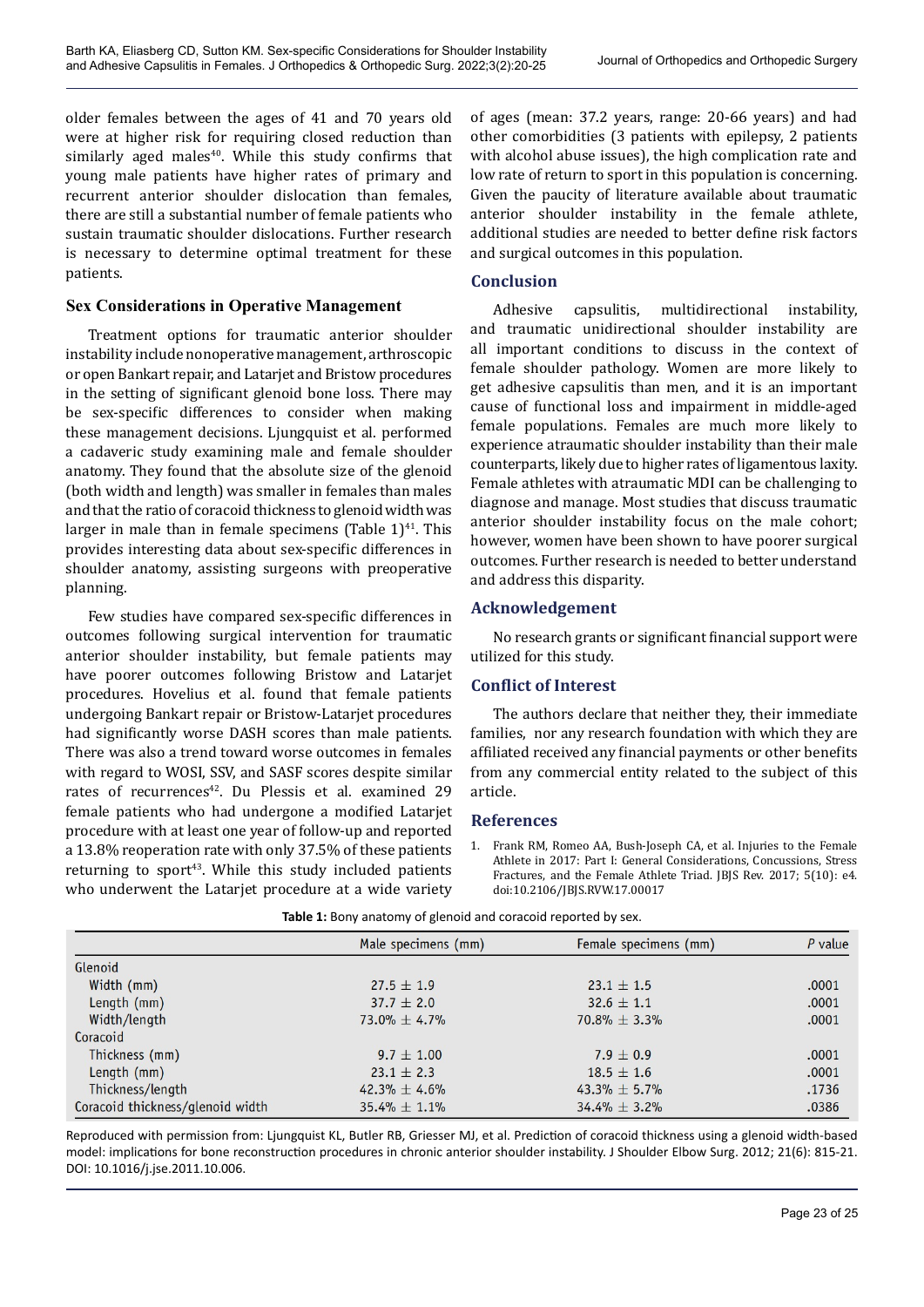older females between the ages of 41 and 70 years old were at higher risk for requiring closed reduction than similarly aged males<sup>40</sup>. While this study confirms that young male patients have higher rates of primary and recurrent anterior shoulder dislocation than females, there are still a substantial number of female patients who sustain traumatic shoulder dislocations. Further research is necessary to determine optimal treatment for these patients.

## **Sex Considerations in Operative Management**

Treatment options for traumatic anterior shoulder instability include nonoperative management, arthroscopic or open Bankart repair, and Latarjet and Bristow procedures in the setting of significant glenoid bone loss. There may be sex-specific differences to consider when making these management decisions. Ljungquist et al. performed a cadaveric study examining male and female shoulder anatomy. They found that the absolute size of the glenoid (both width and length) was smaller in females than males and that the ratio of coracoid thickness to glenoid width was larger in male than in female specimens (Table  $1$ )<sup>41</sup>. This provides interesting data about sex-specific differences in shoulder anatomy, assisting surgeons with preoperative planning.

Few studies have compared sex-specific differences in outcomes following surgical intervention for traumatic anterior shoulder instability, but female patients may have poorer outcomes following Bristow and Latarjet procedures. Hovelius et al. found that female patients undergoing Bankart repair or Bristow-Latarjet procedures had significantly worse DASH scores than male patients. There was also a trend toward worse outcomes in females with regard to WOSI, SSV, and SASF scores despite similar rates of recurrences<sup>42</sup>. Du Plessis et al. examined 29 female patients who had undergone a modified Latarjet procedure with at least one year of follow-up and reported a 13.8% reoperation rate with only 37.5% of these patients returning to sport<sup>43</sup>. While this study included patients who underwent the Latarjet procedure at a wide variety

of ages (mean: 37.2 years, range: 20-66 years) and had other comorbidities (3 patients with epilepsy, 2 patients with alcohol abuse issues), the high complication rate and low rate of return to sport in this population is concerning. Given the paucity of literature available about traumatic anterior shoulder instability in the female athlete, additional studies are needed to better define risk factors and surgical outcomes in this population.

## **Conclusion**

Adhesive capsulitis, multidirectional instability, and traumatic unidirectional shoulder instability are all important conditions to discuss in the context of female shoulder pathology. Women are more likely to get adhesive capsulitis than men, and it is an important cause of functional loss and impairment in middle-aged female populations. Females are much more likely to experience atraumatic shoulder instability than their male counterparts, likely due to higher rates of ligamentous laxity. Female athletes with atraumatic MDI can be challenging to diagnose and manage. Most studies that discuss traumatic anterior shoulder instability focus on the male cohort; however, women have been shown to have poorer surgical outcomes. Further research is needed to better understand and address this disparity.

## **Acknowledgement**

No research grants or significant financial support were utilized for this study.

## **Conflict of Interest**

The authors declare that neither they, their immediate families, nor any research foundation with which they are affiliated received any financial payments or other benefits from any commercial entity related to the subject of this article.

## **References**

1. Frank RM, Romeo AA, Bush-Joseph CA, et al. Injuries to the Female Athlete in 2017: Part I: General Considerations, Concussions, Stress Fractures, and the Female Athlete Triad. JBJS Rev. 2017; 5(10): e4. doi:10.2106/JBJS.RVW.17.00017

|                                  | Male specimens (mm) | Female specimens (mm) | $P$ value |
|----------------------------------|---------------------|-----------------------|-----------|
| Glenoid                          |                     |                       |           |
| Width (mm)                       | $27.5 \pm 1.9$      | $23.1 \pm 1.5$        | .0001     |
| Length (mm)                      | $37.7 \pm 2.0$      | $32.6 + 1.1$          | .0001     |
| Width/length                     | $73.0\% \pm 4.7\%$  | $70.8\% \pm 3.3\%$    | .0001     |
| Coracoid                         |                     |                       |           |
| Thickness (mm)                   | $9.7 \pm 1.00$      | $7.9 \pm 0.9$         | .0001     |
| Length (mm)                      | $23.1 \pm 2.3$      | $18.5 \pm 1.6$        | .0001     |
| Thickness/length                 | $42.3\% \pm 4.6\%$  | $43.3\% \pm 5.7\%$    | .1736     |
| Coracoid thickness/glenoid width | $35.4\% \pm 1.1\%$  | $34.4\% \pm 3.2\%$    | .0386     |

**Table 1:** Bony anatomy of glenoid and coracoid reported by sex.

Reproduced with permission from: Ljungquist KL, Butler RB, Griesser MJ, et al. Prediction of coracoid thickness using a glenoid width-based model: implications for bone reconstruction procedures in chronic anterior shoulder instability. J Shoulder Elbow Surg. 2012; 21(6): 815-21. DOI: 10.1016/j.jse.2011.10.006.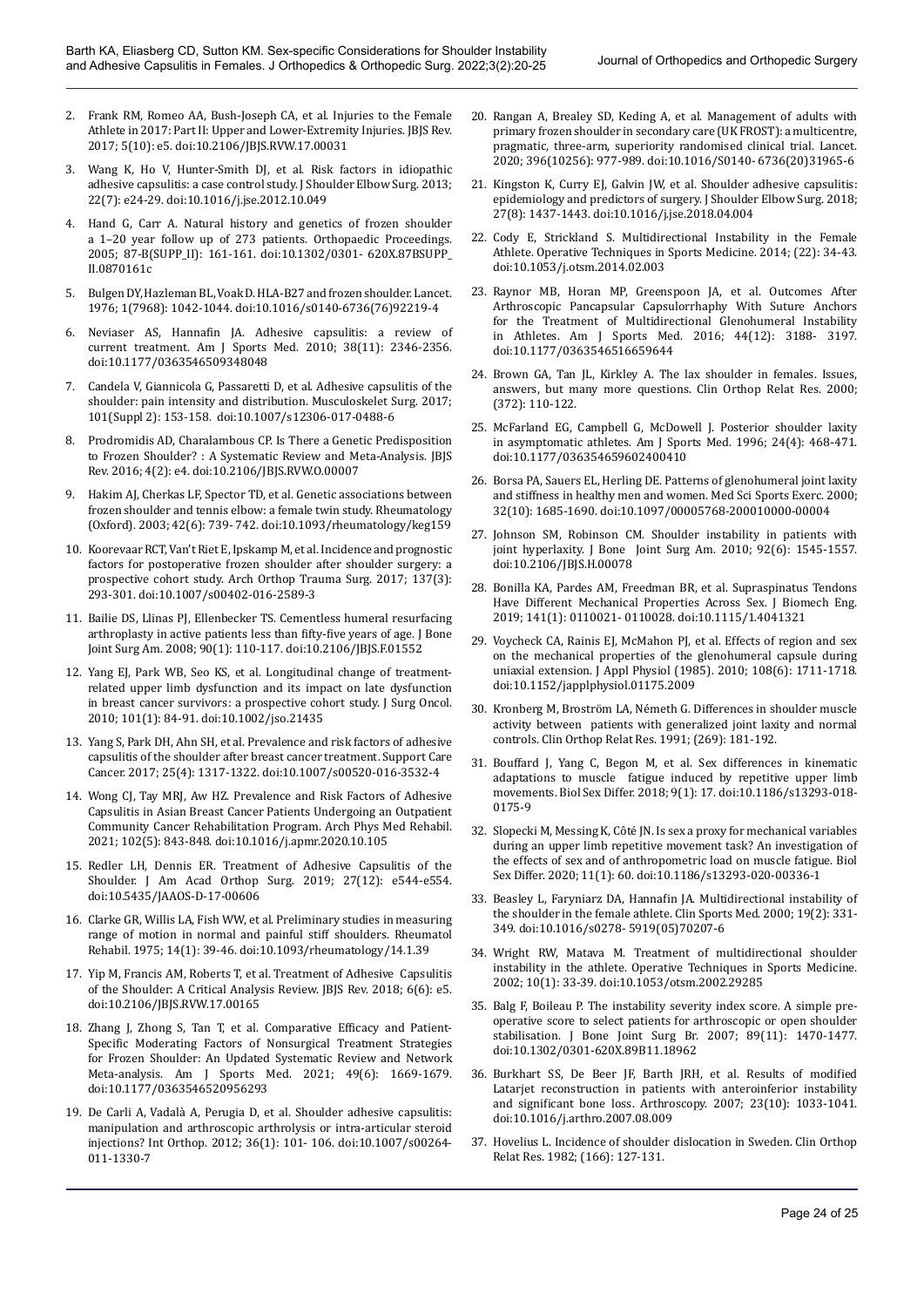- 2. Frank RM, Romeo AA, Bush-Joseph CA, et al. Injuries to the Female Athlete in 2017: Part II: Upper and Lower-Extremity Injuries. JBJS Rev. 2017; 5(10): e5. doi:10.2106/JBJS.RVW.17.00031
- 3. Wang K, Ho V, Hunter-Smith DJ, et al. Risk factors in idiopathic adhesive capsulitis: a case control study. J Shoulder Elbow Surg. 2013; 22(7): e24-29. doi:10.1016/j.jse.2012.10.049
- 4. Hand G, Carr A. Natural history and genetics of frozen shoulder a 1–20 year follow up of 273 patients. Orthopaedic Proceedings. 2005; 87-B(SUPP\_II): 161-161. doi:10.1302/0301- 620X.87BSUPP\_ II.0870161c
- 5. Bulgen DY, Hazleman BL, Voak D. HLA-B27 and frozen shoulder. Lancet. 1976; 1(7968): 1042-1044. doi:10.1016/s0140-6736(76)92219-4
- 6. Neviaser AS, Hannafin JA. Adhesive capsulitis: a review of current treatment. Am J Sports Med. 2010; 38(11): 2346-2356. doi:10.1177/0363546509348048
- 7. Candela V, Giannicola G, Passaretti D, et al. Adhesive capsulitis of the shoulder: pain intensity and distribution. Musculoskelet Surg. 2017; 101(Suppl 2): 153-158. doi:10.1007/s12306-017-0488-6
- 8. Prodromidis AD, Charalambous CP. Is There a Genetic Predisposition to Frozen Shoulder? : A Systematic Review and Meta-Analysis. JBJS Rev. 2016; 4(2): e4. doi:10.2106/JBJS.RVW.O.00007
- Hakim AJ, Cherkas LF, Spector TD, et al. Genetic associations between frozen shoulder and tennis elbow: a female twin study. Rheumatology (Oxford). 2003; 42(6): 739- 742. doi:10.1093/rheumatology/keg159
- 10. Koorevaar RCT, Van't Riet E, Ipskamp M, et al. Incidence and prognostic factors for postoperative frozen shoulder after shoulder surgery: a prospective cohort study. Arch Orthop Trauma Surg. 2017; 137(3): 293-301. doi:10.1007/s00402-016-2589-3
- 11. Bailie DS, Llinas PJ, Ellenbecker TS. Cementless humeral resurfacing arthroplasty in active patients less than fifty-five years of age. J Bone Joint Surg Am. 2008; 90(1): 110-117. doi:10.2106/JBJS.F.01552
- 12. Yang EJ, Park WB, Seo KS, et al. Longitudinal change of treatmentrelated upper limb dysfunction and its impact on late dysfunction in breast cancer survivors: a prospective cohort study. J Surg Oncol. 2010; 101(1): 84-91. doi:10.1002/jso.21435
- 13. Yang S, Park DH, Ahn SH, et al. Prevalence and risk factors of adhesive capsulitis of the shoulder after breast cancer treatment. Support Care Cancer. 2017; 25(4): 1317-1322. doi:10.1007/s00520-016-3532-4
- 14. Wong CJ, Tay MRJ, Aw HZ. Prevalence and Risk Factors of Adhesive Capsulitis in Asian Breast Cancer Patients Undergoing an Outpatient Community Cancer Rehabilitation Program. Arch Phys Med Rehabil. 2021; 102(5): 843-848. doi:10.1016/j.apmr.2020.10.105
- 15. Redler LH, Dennis ER. Treatment of Adhesive Capsulitis of the Shoulder. J Am Acad Orthop Surg. 2019; 27(12): e544-e554. doi:10.5435/JAAOS-D-17-00606
- 16. Clarke GR, Willis LA, Fish WW, et al. Preliminary studies in measuring range of motion in normal and painful stiff shoulders. Rheumatol Rehabil. 1975; 14(1): 39-46. doi:10.1093/rheumatology/14.1.39
- 17. Yip M, Francis AM, Roberts T, et al. Treatment of Adhesive Capsulitis of the Shoulder: A Critical Analysis Review. JBJS Rev. 2018; 6(6): e5. doi:10.2106/JBJS.RVW.17.00165
- 18. Zhang J, Zhong S, Tan T, et al. Comparative Efficacy and Patient-Specific Moderating Factors of Nonsurgical Treatment Strategies for Frozen Shoulder: An Updated Systematic Review and Network Meta-analysis. Am J Sports Med. 2021; 49(6): 1669-1679. doi:10.1177/0363546520956293
- 19. De Carli A, Vadalà A, Perugia D, et al. Shoulder adhesive capsulitis: manipulation and arthroscopic arthrolysis or intra-articular steroid injections? Int Orthop. 2012; 36(1): 101- 106. doi:10.1007/s00264- 011-1330-7
- 20. Rangan A, Brealey SD, Keding A, et al. Management of adults with primary frozen shoulder in secondary care (UK FROST): a multicentre, pragmatic, three-arm, superiority randomised clinical trial. Lancet. 2020; 396(10256): 977-989. doi:10.1016/S0140- 6736(20)31965-6
- 21. Kingston K, Curry EJ, Galvin JW, et al. Shoulder adhesive capsulitis: epidemiology and predictors of surgery. J Shoulder Elbow Surg. 2018; 27(8): 1437-1443. doi:10.1016/j.jse.2018.04.004
- 22. Cody E, Strickland S. Multidirectional Instability in the Female Athlete. Operative Techniques in Sports Medicine. 2014; (22): 34-43. doi:10.1053/j.otsm.2014.02.003
- 23. Raynor MB, Horan MP, Greenspoon JA, et al. Outcomes After Arthroscopic Pancapsular Capsulorrhaphy With Suture Anchors for the Treatment of Multidirectional Glenohumeral Instability in Athletes. Am J Sports Med. 2016; 44(12): 3188- 3197. doi:10.1177/0363546516659644
- 24. Brown GA, Tan JL, Kirkley A. The lax shoulder in females. Issues, answers, but many more questions. Clin Orthop Relat Res. 2000; (372): 110-122.
- 25. McFarland EG, Campbell G, McDowell J. Posterior shoulder laxity in asymptomatic athletes. Am J Sports Med. 1996; 24(4): 468-471. doi:10.1177/036354659602400410
- 26. Borsa PA, Sauers EL, Herling DE. Patterns of glenohumeral joint laxity and stiffness in healthy men and women. Med Sci Sports Exerc. 2000; 32(10): 1685-1690. doi:10.1097/00005768-200010000-00004
- 27. Johnson SM, Robinson CM. Shoulder instability in patients with joint hyperlaxity. J Bone Joint Surg Am. 2010; 92(6): 1545-1557. doi:10.2106/JBJS.H.00078
- 28. Bonilla KA, Pardes AM, Freedman BR, et al. Supraspinatus Tendons Have Different Mechanical Properties Across Sex. J Biomech Eng. 2019; 141(1): 0110021- 0110028. doi:10.1115/1.4041321
- 29. Voycheck CA, Rainis EJ, McMahon PJ, et al. Effects of region and sex on the mechanical properties of the glenohumeral capsule during uniaxial extension. J Appl Physiol (1985). 2010; 108(6): 1711-1718. doi:10.1152/japplphysiol.01175.2009
- 30. Kronberg M, Broström LA, Németh G. Differences in shoulder muscle activity between patients with generalized joint laxity and normal controls. Clin Orthop Relat Res. 1991; (269): 181-192.
- 31. Bouffard J, Yang C, Begon M, et al. Sex differences in kinematic adaptations to muscle fatigue induced by repetitive upper limb movements. Biol Sex Differ. 2018; 9(1): 17. doi:10.1186/s13293-018- 0175-9
- 32. Slopecki M, Messing K, Côté JN. Is sex a proxy for mechanical variables during an upper limb repetitive movement task? An investigation of the effects of sex and of anthropometric load on muscle fatigue. Biol Sex Differ. 2020; 11(1): 60. doi:10.1186/s13293-020-00336-1
- 33. Beasley L, Faryniarz DA, Hannafin JA. Multidirectional instability of the shoulder in the female athlete. Clin Sports Med. 2000; 19(2): 331- 349. doi:10.1016/s0278- 5919(05)70207-6
- 34. Wright RW, Matava M. Treatment of multidirectional shoulder instability in the athlete. Operative Techniques in Sports Medicine. 2002; 10(1): 33-39. doi:10.1053/otsm.2002.29285
- 35. Balg F, Boileau P. The instability severity index score. A simple preoperative score to select patients for arthroscopic or open shoulder stabilisation. J Bone Joint Surg Br. 2007; 89(11): 1470-1477. doi:10.1302/0301-620X.89B11.18962
- 36. Burkhart SS, De Beer JF, Barth JRH, et al. Results of modified Latarjet reconstruction in patients with anteroinferior instability and significant bone loss. Arthroscopy. 2007; 23(10): 1033-1041. doi:10.1016/j.arthro.2007.08.009
- 37. Hovelius L. Incidence of shoulder dislocation in Sweden. Clin Orthop Relat Res. 1982; (166): 127-131.